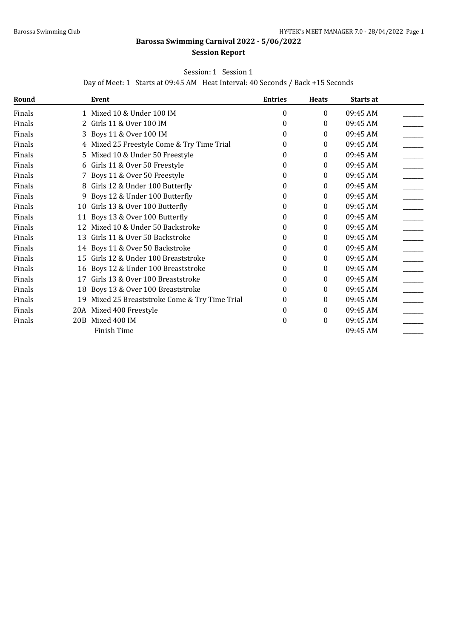## **Barossa Swimming Carnival 2022 - 5/06/2022 Session Report**

Session: 1 Session 1

Day of Meet: 1 Starts at 09:45 AM Heat Interval: 40 Seconds / Back +15 Seconds

| Round  |     | Event                                       | <b>Entries</b> | <b>Heats</b> | Starts at |  |
|--------|-----|---------------------------------------------|----------------|--------------|-----------|--|
| Finals |     | 1 Mixed 10 & Under 100 IM                   | 0              | $\Omega$     | 09:45 AM  |  |
| Finals |     | 2 Girls 11 & Over 100 IM                    | 0              | 0            | 09:45 AM  |  |
| Finals | 3   | Boys 11 & Over 100 IM                       | 0              | 0            | 09:45 AM  |  |
| Finals |     | 4 Mixed 25 Freestyle Come & Try Time Trial  | 0              | 0            | 09:45 AM  |  |
| Finals | 5.  | Mixed 10 & Under 50 Freestyle               | 0              | 0            | 09:45 AM  |  |
| Finals |     | 6 Girls 11 & Over 50 Freestyle              | 0              | 0            | 09:45 AM  |  |
| Finals |     | 7 Boys 11 & Over 50 Freestyle               | 0              | 0            | 09:45 AM  |  |
| Finals | 8   | Girls 12 & Under 100 Butterfly              | 0              | 0            | 09:45 AM  |  |
| Finals |     | 9 Boys 12 & Under 100 Butterfly             | 0              | 0            | 09:45 AM  |  |
| Finals | 10  | Girls 13 & Over 100 Butterfly               | 0              | 0            | 09:45 AM  |  |
| Finals |     | 11 Boys 13 & Over 100 Butterfly             | 0              | 0            | 09:45 AM  |  |
| Finals | 12  | Mixed 10 & Under 50 Backstroke              | 0              | 0            | 09:45 AM  |  |
| Finals |     | 13 Girls 11 & Over 50 Backstroke            | 0              | 0            | 09:45 AM  |  |
| Finals |     | 14 Boys 11 & Over 50 Backstroke             | 0              | 0            | 09:45 AM  |  |
| Finals | 15  | Girls 12 & Under 100 Breaststroke           | 0              | 0            | 09:45 AM  |  |
| Finals |     | 16 Boys 12 & Under 100 Breaststroke         | 0              | 0            | 09:45 AM  |  |
| Finals | 17  | Girls 13 & Over 100 Breaststroke            | 0              | 0            | 09:45 AM  |  |
| Finals | 18  | Boys 13 & Over 100 Breaststroke             | 0              | 0            | 09:45 AM  |  |
| Finals | 19  | Mixed 25 Breaststroke Come & Try Time Trial | 0              | 0            | 09:45 AM  |  |
| Finals |     | 20A Mixed 400 Freestyle                     | 0              | 0            | 09:45 AM  |  |
| Finals | 20B | Mixed 400 IM                                | $\theta$       | 0            | 09:45 AM  |  |
|        |     | Finish Time                                 |                |              | 09:45 AM  |  |